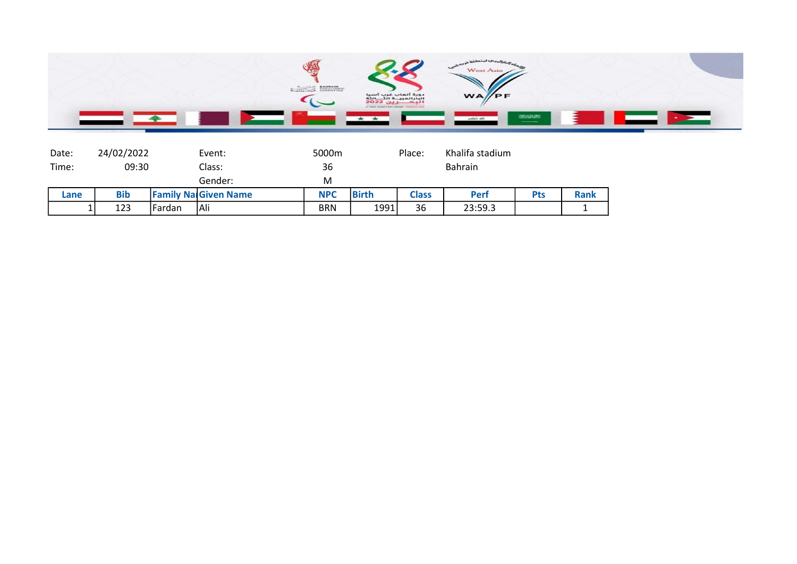

| Date: | 24/02/2022 |        | Event:                      | 5000m      |              | Place:         | Khalifa stadium |            |             |
|-------|------------|--------|-----------------------------|------------|--------------|----------------|-----------------|------------|-------------|
| Time: | 09:30      |        | Class:                      | 36         |              | <b>Bahrain</b> |                 |            |             |
|       |            |        | Gender:                     | M          |              |                |                 |            |             |
| Lane  | <b>Bib</b> |        | <b>Family Na Given Name</b> | <b>NPC</b> | <b>Birth</b> | <b>Class</b>   | <b>Perf</b>     | <b>Pts</b> | <b>Rank</b> |
|       | 123        | Fardan | Ali                         | BRN        | 1991         | 36             | 23:59.3         |            |             |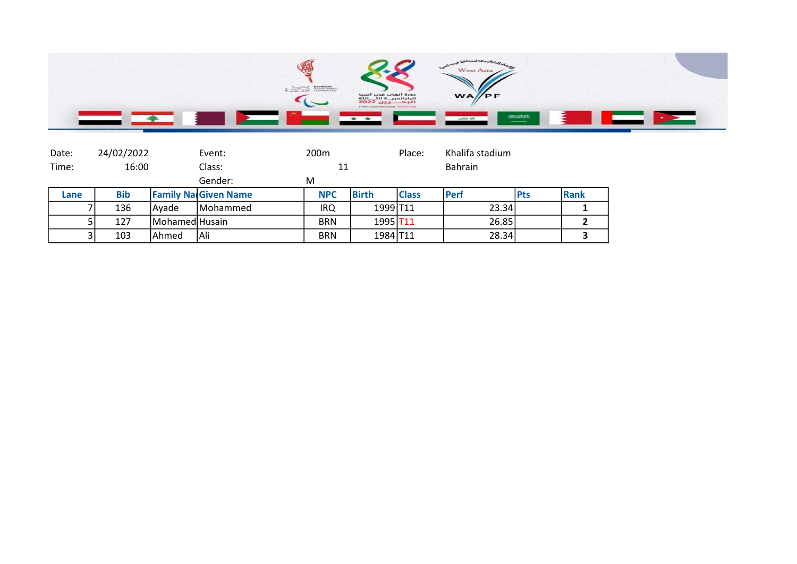

| Date: |                                | 24/02/2022 |                | Event:                      | 200 <sub>m</sub> |                      | Place:       | Khalifa stadium |             |      |
|-------|--------------------------------|------------|----------------|-----------------------------|------------------|----------------------|--------------|-----------------|-------------|------|
|       | Time:<br>16:00<br>Class:<br>11 |            | <b>Bahrain</b> |                             |                  |                      |              |                 |             |      |
|       |                                |            |                | Gender:                     | M                |                      |              |                 |             |      |
|       | Lane                           | <b>Bib</b> |                | <b>Family NarGiven Name</b> | <b>NPC</b>       | <b>Birth</b>         | <b>Class</b> | <b>IPerf</b>    | <b>IPts</b> | Rank |
|       |                                | 136        | <b>IAvade</b>  | <b>IMohammed</b>            | IRQ              | 1999 T11             |              | 23.34           |             |      |
|       |                                | 127        | Mohamed Husain |                             | <b>BRN</b>       | 1995 T <sub>11</sub> |              | 26.85           |             |      |
|       |                                | 103        | <b>Ahmed</b>   | Ali                         | <b>BRN</b>       | 1984 T11             |              | 28.34           |             |      |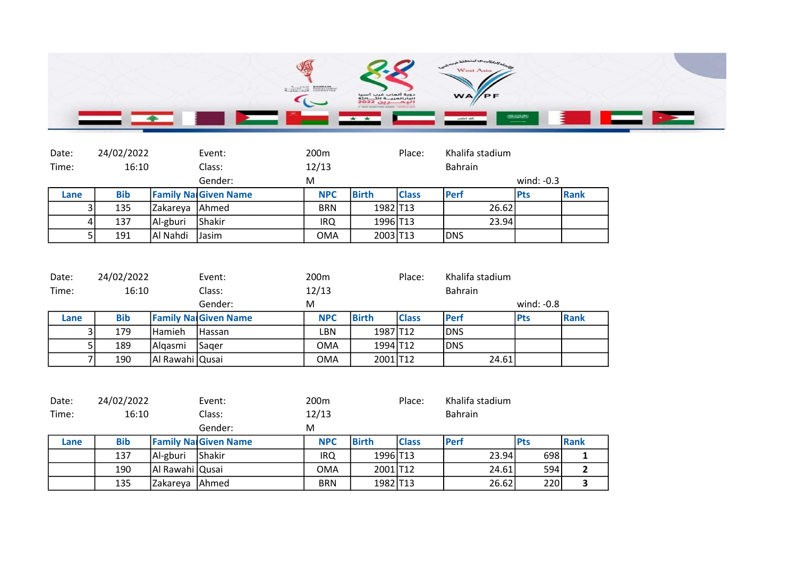

| Date:          | 24/02/2022 |          | Event:                      | 200 <sub>m</sub> |                      | Place:       | Khalifa stadium |              |      |
|----------------|------------|----------|-----------------------------|------------------|----------------------|--------------|-----------------|--------------|------|
| Time:          | 16:10      |          | Class:                      | 12/13            |                      |              | Bahrain         |              |      |
|                |            |          | Gender:                     | M                |                      |              |                 | wind: $-0.3$ |      |
| Lane           | <b>Bib</b> |          | <b>Family Na Given Name</b> | <b>NPC</b>       | <b>Birth</b>         | <b>Class</b> | <b>IPerf</b>    | <b>Pts</b>   | Rank |
| 3              | 135        | Zakareya | <b>Ahmed</b>                | <b>BRN</b>       | 1982 T13             |              | 26.62           |              |      |
| $\overline{4}$ | 137        | Al-gburi | Shakir                      | IRQ              | 1996 T <sub>13</sub> |              | 23.94           |              |      |
|                | 191        | Al Nahdi | Jasim                       | OMA              | 2003 T13             |              | <b>IDNS</b>     |              |      |

| Date: | 24/02/2022 |                 | Event:                      | 200 <sub>m</sub> |              | Place:       | Khalifa stadium |              |      |
|-------|------------|-----------------|-----------------------------|------------------|--------------|--------------|-----------------|--------------|------|
| Time: | 16:10      |                 | Class:                      | 12/13            |              |              | Bahrain         |              |      |
|       |            |                 | Gender:                     | M                |              |              |                 | wind: $-0.8$ |      |
| Lane  | <b>Bib</b> |                 | <b>Family NarGiven Name</b> | <b>NPC</b>       | <b>Birth</b> | <b>Class</b> | <b>IPerf</b>    | <b>Pts</b>   | Rank |
|       | 179        | l Hamieh        | <b>Hassan</b>               | LBN              | 1987 T12     |              | IDNS            |              |      |
|       | 189        | <b>Algasmi</b>  | Sager                       | OMA              | 1994 T12     |              | <b>IDNS</b>     |              |      |
|       | 190        | Al Rawahi Qusai |                             | OMA              | 2001 T12     |              | 24.61           |              |      |

| Date: | 24/02/2022 |                 | Event:                      | 200 <sub>m</sub> |              | Place:       | Khalifa stadium |             |             |
|-------|------------|-----------------|-----------------------------|------------------|--------------|--------------|-----------------|-------------|-------------|
| Time: | 16:10      |                 | Class:                      | 12/13            |              |              | <b>Bahrain</b>  |             |             |
|       |            |                 | Gender:                     | M                |              |              |                 |             |             |
| Lane  | <b>Bib</b> |                 | <b>Family Na Given Name</b> | <b>NPC</b>       | <b>Birth</b> | <b>Class</b> | <b>IPerf</b>    | <b>IPts</b> | <b>Rank</b> |
|       | 137        | Al-gburi        | <b>Shakir</b>               | IRQ              | 1996 T13     |              | 23.94           | 698         |             |
|       | 190        | Al Rawahi Qusai |                             | OMA              | 2001 T12     |              | 24.61           | 594         |             |
|       | 135        | Zakareya        | <b>Ahmed</b>                | <b>BRN</b>       | 1982 T13     |              | 26.62           | 220         | ີ           |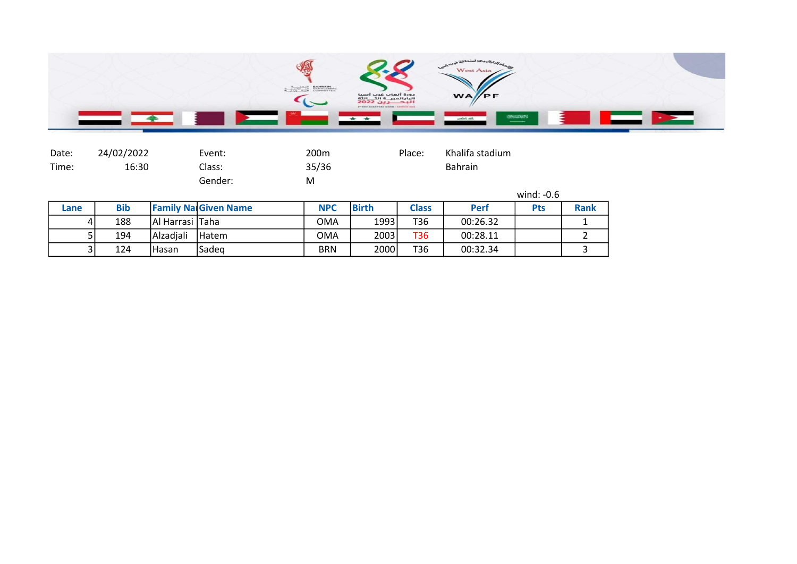

| Date: | 24/02/2022 | Event:  | 200m  | Place: | Khalifa stadium |  |
|-------|------------|---------|-------|--------|-----------------|--|
| Time: | 16:30      | Class:  | 35/36 |        | <b>Bahrain</b>  |  |
|       |            | Gender: | M     |        |                 |  |
|       |            |         |       |        | wind: $-0.6$    |  |

| Lane | <b>Bib</b> |                   | <b>Family Nal Given Name</b> | <b>NPC</b> | <b>Birth</b> | <b>Class</b> | Perf     | <b>Pts</b> | <b>Rank</b> |
|------|------------|-------------------|------------------------------|------------|--------------|--------------|----------|------------|-------------|
| 41   | 188        | Al Harrasi   Taha |                              | <b>OMA</b> | 1993         | T36          | 00:26.32 |            |             |
|      | 194        | <b>Alzadiali</b>  | <b>IHatem</b>                | <b>OMA</b> | 2003         | T36          | 00:28.11 |            |             |
| วเ   | 124        | lHasan            | Sadeg                        | <b>BRN</b> | 2000         | T36          | 00:32.34 |            |             |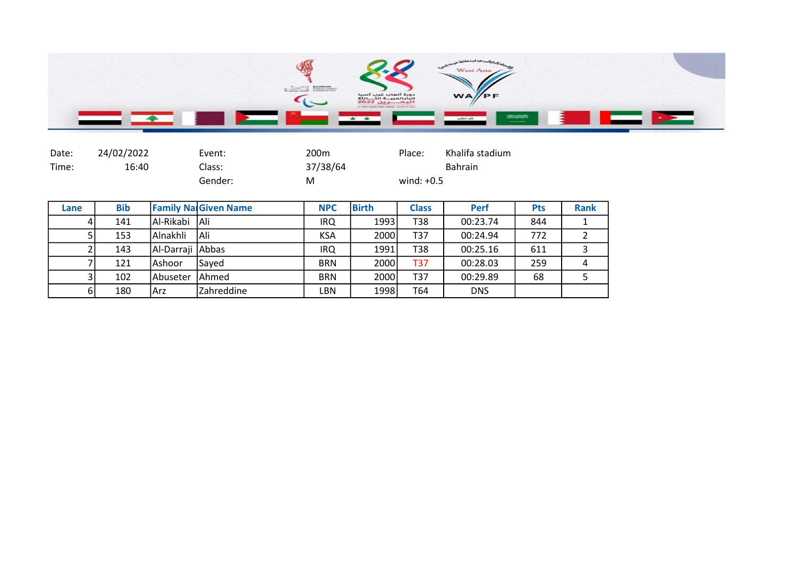

| Date: | 24/02/2022 | Event:  | 200m     | Place:       | Khalifa stadium |
|-------|------------|---------|----------|--------------|-----------------|
| Time: | 16:40      | Class:  | 37/38/64 |              | <b>Bahrain</b>  |
|       |            | Gender: | М        | wind: $+0.5$ |                 |

| Lane | <b>Bib</b> |                    | <b>Family Na Given Name</b> | <b>NPC</b> | <b>Birth</b> | <b>Class</b> | Perf       | <b>Pts</b> | <b>Rank</b> |
|------|------------|--------------------|-----------------------------|------------|--------------|--------------|------------|------------|-------------|
|      | 141        | Al-Rikabi Ali      |                             | IRQ.       | 1993         | T38          | 00:23.74   | 844        |             |
|      | 153        | l Alnakhli         | <b>IAli</b>                 | KSA        | 2000         | T37          | 00:24.94   | 772        |             |
|      | 143        | Al-Darraji   Abbas |                             | IRQ        | 1991         | T38          | 00:25.16   | 611        |             |
|      | 121        | lAshoor            | Saved                       | <b>BRN</b> | 2000         | T37          | 00:28.03   | 259        |             |
|      | 102        | Abuseter           | <b>JAhmed</b>               | <b>BRN</b> | 2000         | T37          | 00:29.89   | 68         |             |
| 6    | 180        | Arz                | <b>Zahreddine</b>           | LBN        | 1998         | T64          | <b>DNS</b> |            |             |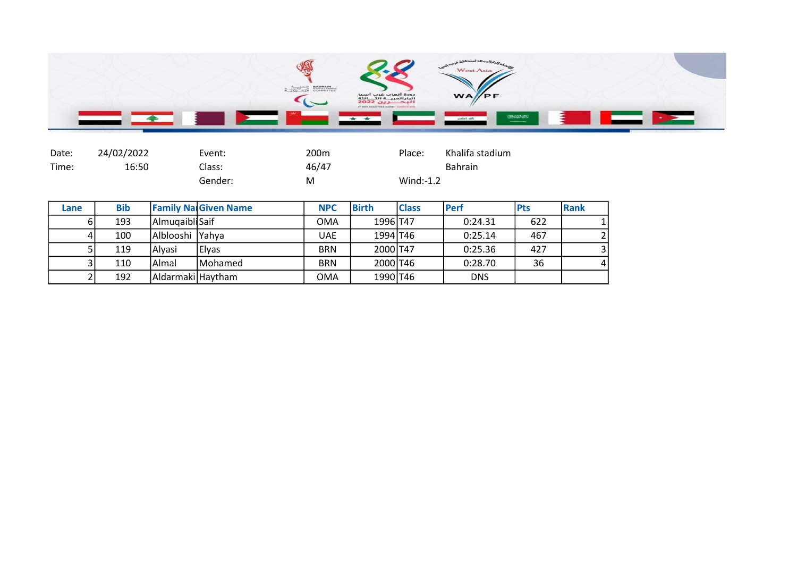

| Date: | 24/02/2022 | Event:  | 200m  | Place:       | Khalifa stadium |
|-------|------------|---------|-------|--------------|-----------------|
| Time: | 16:50      | Class:  | 46/47 |              | <b>Bahrain</b>  |
|       |            | Gender: | M     | $Wind: -1.2$ |                 |

| Lane | <b>Bib</b> |                   | <b>Family Na Given Name</b> | <b>NPC</b> | <b>Birth</b> | <b>Class</b> | <b>IPerf</b> | <b>IPts</b> | Rank           |
|------|------------|-------------------|-----------------------------|------------|--------------|--------------|--------------|-------------|----------------|
| ы    | 193        | Almuqaibli Saif   |                             | <b>OMA</b> | 1996 T47     |              | 0:24.31      | 622         |                |
|      | 100        | Alblooshi  Yahya  |                             | UAE        | 1994 T46     |              | 0:25.14      | 467         | $\overline{2}$ |
|      | 119        | Alyasi            | Elyas                       | <b>BRN</b> | 2000 T47     |              | 0:25.36      | 427         | 3 <sup>1</sup> |
|      | 110        | lAlmal            | Mohamed                     | <b>BRN</b> | 2000 T46     |              | 0:28.70      | 36          | $\vert$        |
|      | 192        | Aldarmaki Haytham |                             | <b>OMA</b> | 1990 T46     |              | <b>DNS</b>   |             |                |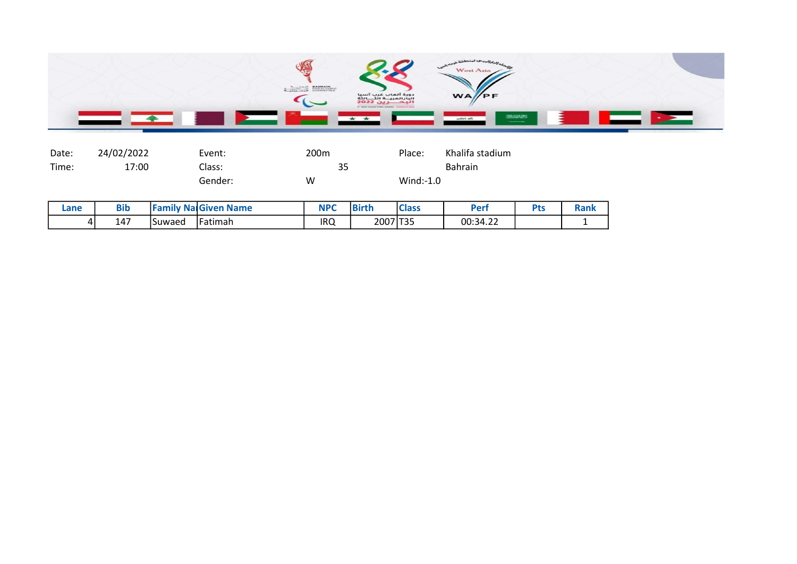

| Date: | 24/02/2022 | Event:  | 200m | Place:       | Khalifa stadium |
|-------|------------|---------|------|--------------|-----------------|
| Time: | 17:00      | Class:  | 35   |              | <b>Bahrain</b>  |
|       |            | Gender: | w    | $Wind: -1.0$ |                 |

| Lane | <b>Bib</b> |         | <b>Family NalGiven Name</b> | <b>NPC</b> | <b>Birth</b> | <b>Class</b> | Peri     | <b>Pts</b> | Rank |
|------|------------|---------|-----------------------------|------------|--------------|--------------|----------|------------|------|
| 4    | 147        | ISuwaed | l Fatimah                   | IRQ        | 2007 T35     |              | 00:34.22 |            |      |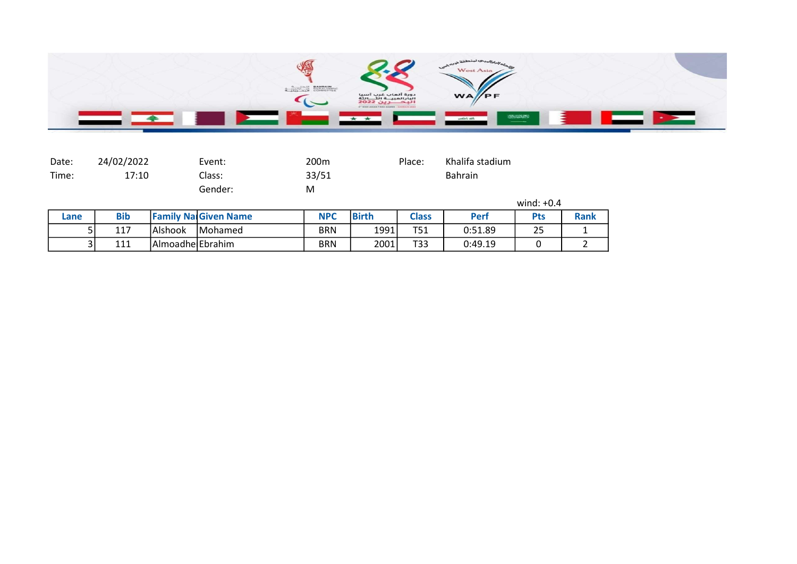

| Date: | 24/02/2022 |                  | Event:                      | 200 <sub>m</sub> |              | Place:       | Khalifa stadium |              |             |
|-------|------------|------------------|-----------------------------|------------------|--------------|--------------|-----------------|--------------|-------------|
| Time: | 17:10      |                  | Class:                      | 33/51            |              |              | Bahrain         |              |             |
|       |            |                  | Gender:                     | M                |              |              |                 |              |             |
|       |            |                  |                             |                  |              |              |                 | wind: $+0.4$ |             |
| Lane  | <b>Bib</b> |                  | <b>Family NalGiven Name</b> | <b>NPC</b>       | <b>Birth</b> | <b>Class</b> | <b>Perf</b>     | <b>Pts</b>   | <b>Rank</b> |
|       | 117        | lAlshook         | <b>IMohamed</b>             | <b>BRN</b>       | 1991         | T51          | 0:51.89         | 25           |             |
|       | 111<br>3١  | Almoadhe Ebrahim |                             | <b>BRN</b>       | 2001         | T33          | 0:49.19         |              |             |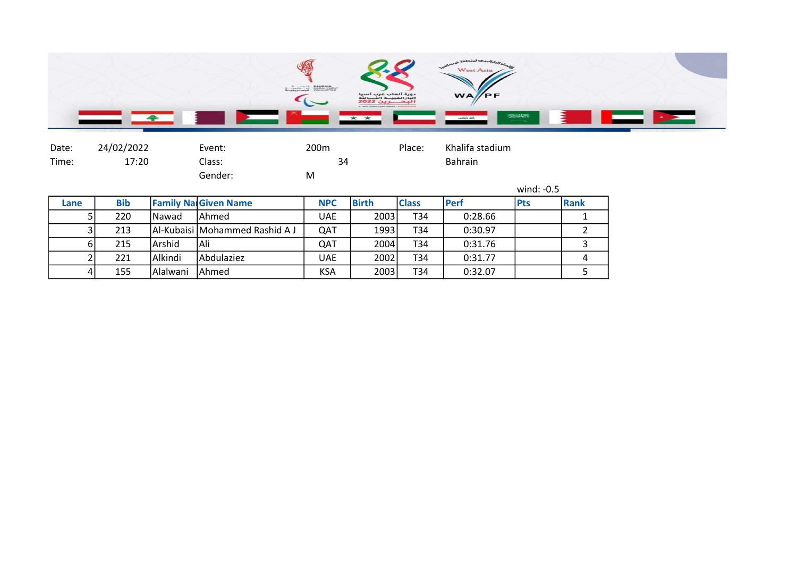

| Date: | 24/02/2022 | Event:  | 200m | Place: | Khalifa stadium |
|-------|------------|---------|------|--------|-----------------|
| Time: | 17:20      | Class:  | 34   |        | <b>Bahrain</b>  |
|       |            | Gender: | Μ    |        |                 |

|      |            |                |                                      |            |              |              |              | wind: $-0.5$ |      |  |
|------|------------|----------------|--------------------------------------|------------|--------------|--------------|--------------|--------------|------|--|
| Lane | <b>Bib</b> |                | <b>Family Na Given Name</b>          | <b>NPC</b> | <b>Birth</b> | <b>Class</b> | <b>IPerf</b> | <b>Pts</b>   | Rank |  |
|      | 220        | <b>INawad</b>  | lAhmed                               | UAE        | 2003         | T34          | 0:28.66      |              |      |  |
|      | 213        |                | <b>Al-Kubaisi Mohammed Rashid AJ</b> | QAT        | 1993         | T34          | 0:30.97      |              |      |  |
| 61   | 215        | lArshid        | Ali                                  | QAT        | 2004         | T34          | 0:31.76      |              |      |  |
|      | 221        | <b>Alkindi</b> | lAbdulaziez                          | <b>UAE</b> | 2002         | T34          | 0:31.77      |              | 4    |  |
| 41   | 155        | l Alalwani     | Ahmed                                | <b>KSA</b> | 2003         | T34          | 0:32.07      |              |      |  |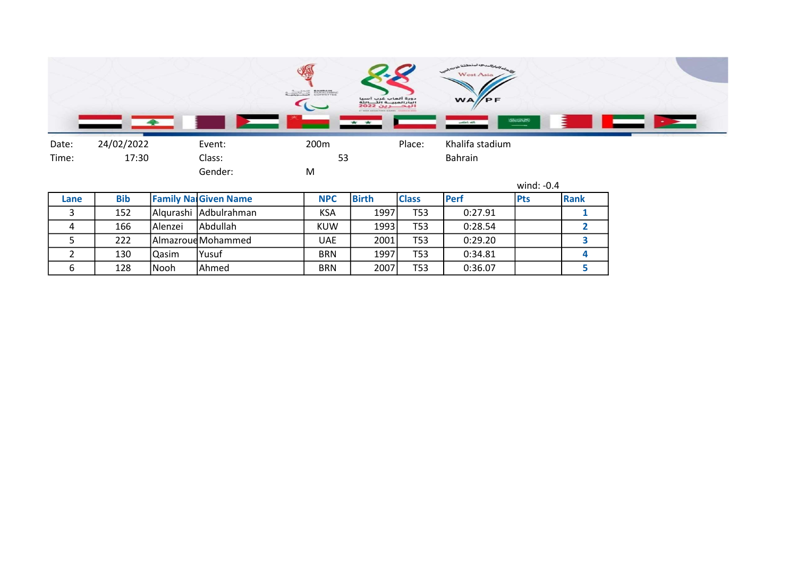|                                                 | $\mathbf{r}$                                                                                                     |     |                                   |
|-------------------------------------------------|------------------------------------------------------------------------------------------------------------------|-----|-----------------------------------|
| BAHRAIN<br>PARALYHPIC<br>$4.10^{10}$ and $8.10$ | دورة ألعاب غرب آسيا<br>البارالمبيــة الثــــالثة<br>WA/PF<br>2022 JUL<br>BY WEST ASSAN FARA GAMES - DANNAIN SCES |     |                                   |
| * *                                             | Jin Jahre                                                                                                        | $-$ | <b>Contract Contract Contract</b> |

Date: 24/02/2022 Event: 200m Place: Khalifa stadium Time: 17:30 Class: 53 Bahrain Gender: M

|      |            |          |                             |            |              |                 |             | wind: $-0.4$ |      |
|------|------------|----------|-----------------------------|------------|--------------|-----------------|-------------|--------------|------|
| Lane | <b>Bib</b> |          | <b>Family Na Given Name</b> | <b>NPC</b> | <b>Birth</b> | <b>Class</b>    | <b>Perf</b> | <b>Pts</b>   | Rank |
|      | 152        |          | Algurashi Adbulrahman       | KSA        | 1997         | T53             | 0:27.91     |              |      |
| 4    | 166        | lAlenzei | l Abdullah                  | <b>KUW</b> | 1993         | T <sub>53</sub> | 0:28.54     |              |      |
|      | 222        |          | AlmazroudMohammed           | UAE        | 2001         | T <sub>53</sub> | 0:29.20     |              |      |
|      | 130        | Qasim    | Yusuf                       | <b>BRN</b> | 1997         | T53             | 0:34.81     |              |      |
| 6    | 128        | Nooh     | Ahmed                       | <b>BRN</b> | 2007         | T53             | 0:36.07     |              |      |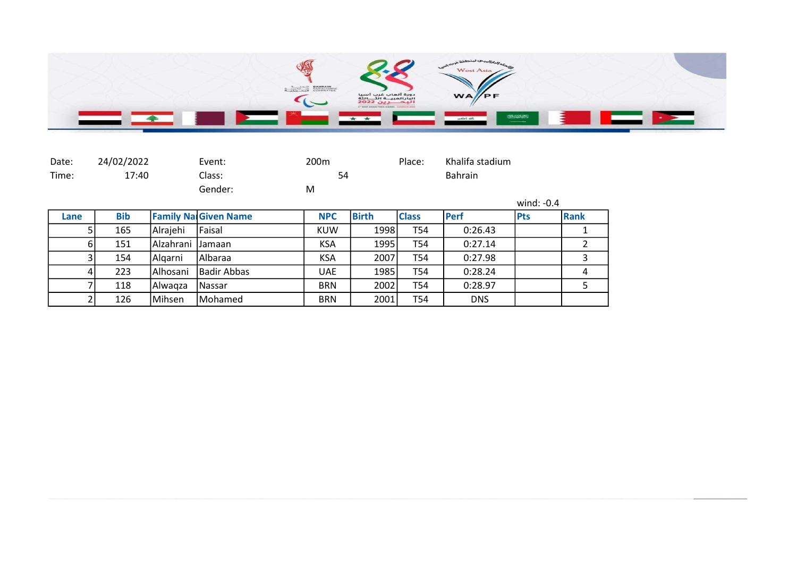

| Date: | 24/02/2022 |           | Event:                      | 200 <sub>m</sub> |              | Place:       | Khalifa stadium |              |                |
|-------|------------|-----------|-----------------------------|------------------|--------------|--------------|-----------------|--------------|----------------|
| Time: | 17:40      |           | Class:                      | 54               |              |              | <b>Bahrain</b>  |              |                |
|       |            |           | Gender:                     | M                |              |              |                 |              |                |
|       |            |           |                             |                  |              |              |                 | wind: $-0.4$ |                |
| Lane  | <b>Bib</b> |           | <b>Family Na Given Name</b> | <b>NPC</b>       | <b>Birth</b> | <b>Class</b> | <b>Perf</b>     | <b>Pts</b>   | <b>Rank</b>    |
|       | 165        | Alrajehi  | <b>Faisal</b>               | <b>KUW</b>       | 1998         | T54          | 0:26.43         |              |                |
| 6     | 151        | Alzahrani | <b>IJamaan</b>              | <b>KSA</b>       | 1995         | T54          | 0:27.14         |              | $\overline{2}$ |
| 31    | 154        | Algarni   | Albaraa                     | <b>KSA</b>       | 2007         | T54          | 0:27.98         |              | 3              |
| 41    | 223        | Alhosani  | Badir Abbas                 | <b>UAE</b>       | 1985         | T54          | 0:28.24         |              | 4              |
|       | 118        | Alwaqza   | l Nassar                    | <b>BRN</b>       | 2002         | T54          | 0:28.97         |              | 5              |
|       | 126        | Mihsen    | Mohamed                     | <b>BRN</b>       | 2001         | T54          | <b>DNS</b>      |              |                |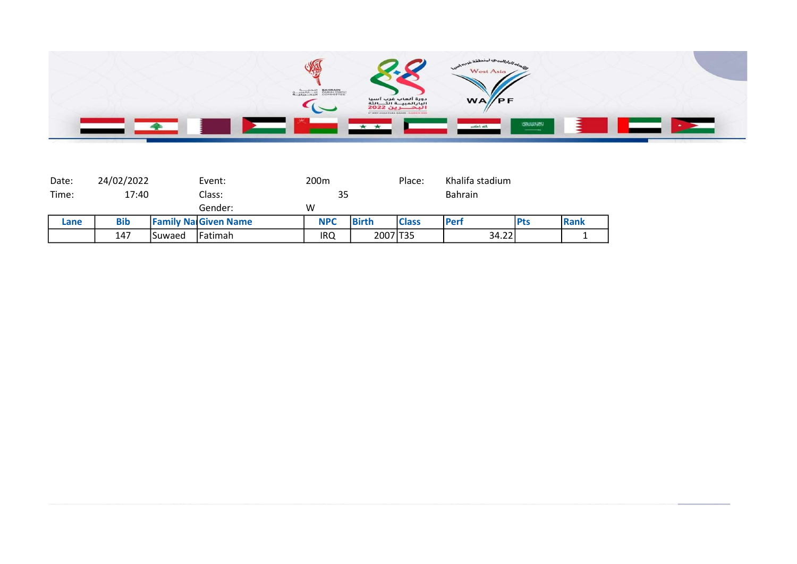

| Date: | 24/02/2022 |        | Event:                      | 200m       |              | Place:       | Khalifa stadium |            |      |
|-------|------------|--------|-----------------------------|------------|--------------|--------------|-----------------|------------|------|
| Time: | 17:40      |        | Class:                      | 35         |              | Bahrain      |                 |            |      |
|       |            |        | Gender:                     | W          |              |              |                 |            |      |
| Lane  | <b>Bib</b> |        | <b>Family Na Given Name</b> | <b>NPC</b> | <b>Birth</b> | <b>Class</b> | Perf            | <b>Pts</b> | Rank |
|       | 147        | Suwaed | <b>Fatimah</b>              | IRQ        | 2007 T35     |              | 34.22           |            |      |